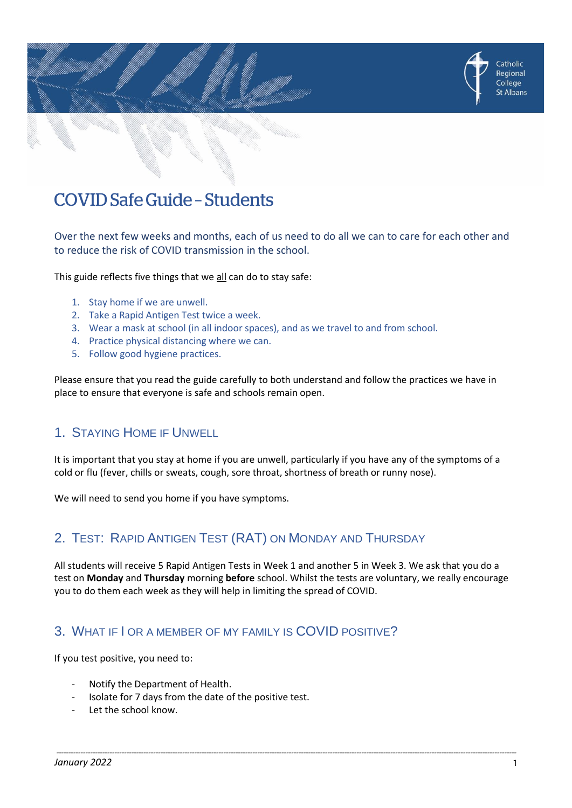

Over the next few weeks and months, each of us need to do all we can to care for each other and to reduce the risk of COVID transmission in the school.

This guide reflects five things that we all can do to stay safe:

- 1. Stay home if we are unwell.
- 2. Take a Rapid Antigen Test twice a week.
- 3. Wear a mask at school (in all indoor spaces), and as we travel to and from school.
- 4. Practice physical distancing where we can.
- 5. Follow good hygiene practices.

Please ensure that you read the guide carefully to both understand and follow the practices we have in place to ensure that everyone is safe and schools remain open.

# 1. STAYING HOME IF UNWELL

It is important that you stay at home if you are unwell, particularly if you have any of the symptoms of a cold or flu (fever, chills or sweats, cough, sore throat, shortness of breath or runny nose).

We will need to send you home if you have symptoms.

# 2. TEST: RAPID ANTIGEN TEST (RAT) ON MONDAY AND THURSDAY

All students will receive 5 Rapid Antigen Tests in Week 1 and another 5 in Week 3. We ask that you do a test on **Monday** and **Thursday** morning **before** school. Whilst the tests are voluntary, we really encourage you to do them each week as they will help in limiting the spread of COVID.

# 3. WHAT IF I OR A MEMBER OF MY FAMILY IS COVID POSITIVE?

If you test positive, you need to:

- Notify the Department of Health.
- Isolate for 7 days from the date of the positive test.
- Let the school know.

Catholic Regional College St Albans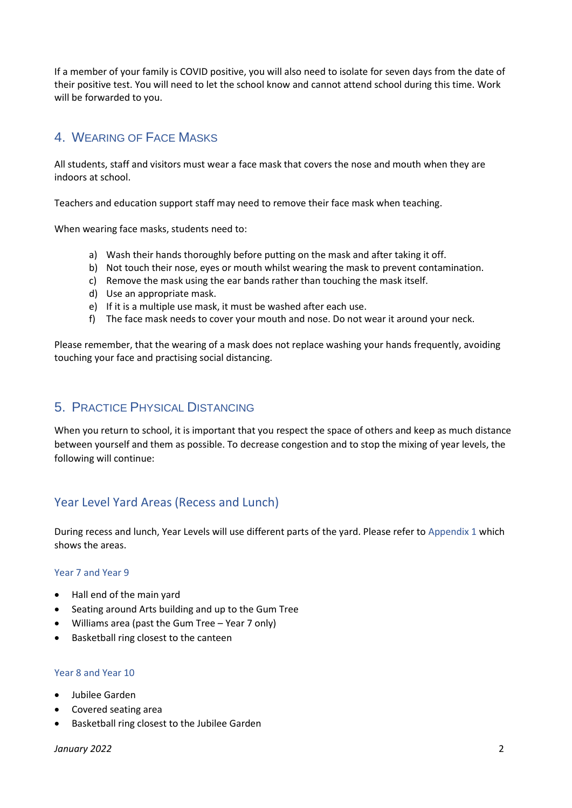If a member of your family is COVID positive, you will also need to isolate for seven days from the date of their positive test. You will need to let the school know and cannot attend school during this time. Work will be forwarded to you.

# 4. WEARING OF FACE MASKS

All students, staff and visitors must wear a face mask that covers the nose and mouth when they are indoors at school.

Teachers and education support staff may need to remove their face mask when teaching.

When wearing face masks, students need to:

- a) Wash their hands thoroughly before putting on the mask and after taking it off.
- b) Not touch their nose, eyes or mouth whilst wearing the mask to prevent contamination.
- c) Remove the mask using the ear bands rather than touching the mask itself.
- d) Use an appropriate mask.
- e) If it is a multiple use mask, it must be washed after each use.
- f) The face mask needs to cover your mouth and nose. Do not wear it around your neck.

Please remember, that the wearing of a mask does not replace washing your hands frequently, avoiding touching your face and practising social distancing.

# 5. PRACTICE PHYSICAL DISTANCING

When you return to school, it is important that you respect the space of others and keep as much distance between yourself and them as possible. To decrease congestion and to stop the mixing of year levels, the following will continue:

# Year Level Yard Areas (Recess and Lunch)

During recess and lunch, Year Levels will use different parts of the yard. Please refer to Appendix 1 which shows the areas.

#### Year 7 and Year 9

- Hall end of the main yard
- Seating around Arts building and up to the Gum Tree
- Williams area (past the Gum Tree Year 7 only)
- Basketball ring closest to the canteen

#### Year 8 and Year 10

- Jubilee Garden
- Covered seating area
- Basketball ring closest to the Jubilee Garden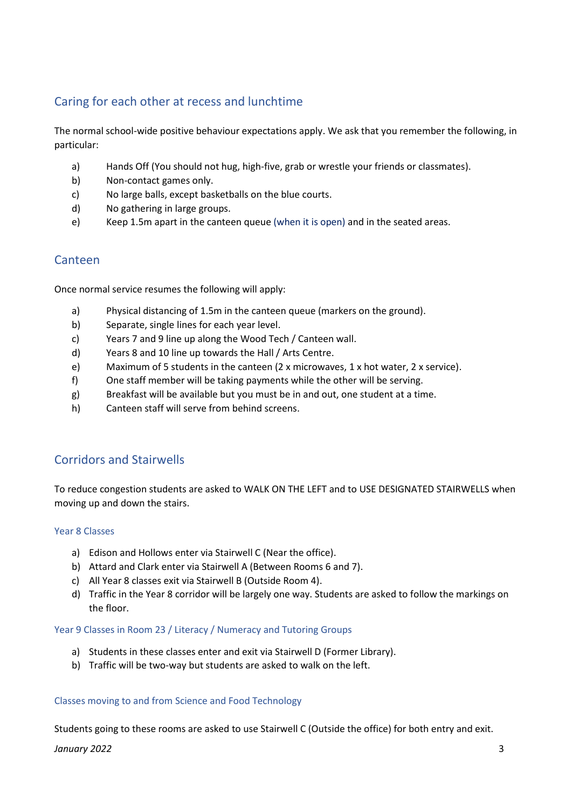# Caring for each other at recess and lunchtime

The normal school-wide positive behaviour expectations apply. We ask that you remember the following, in particular:

- a) Hands Off (You should not hug, high-five, grab or wrestle your friends or classmates).
- b) Non-contact games only.
- c) No large balls, except basketballs on the blue courts.
- d) No gathering in large groups.
- e) Keep 1.5m apart in the canteen queue (when it is open) and in the seated areas.

### Canteen

Once normal service resumes the following will apply:

- a) Physical distancing of 1.5m in the canteen queue (markers on the ground).
- b) Separate, single lines for each year level.
- c) Years 7 and 9 line up along the Wood Tech / Canteen wall.
- d) Years 8 and 10 line up towards the Hall / Arts Centre.
- e) Maximum of 5 students in the canteen (2 x microwaves, 1 x hot water, 2 x service).
- f) One staff member will be taking payments while the other will be serving.
- g) Breakfast will be available but you must be in and out, one student at a time.
- h) Canteen staff will serve from behind screens.

## Corridors and Stairwells

To reduce congestion students are asked to WALK ON THE LEFT and to USE DESIGNATED STAIRWELLS when moving up and down the stairs.

#### Year 8 Classes

- a) Edison and Hollows enter via Stairwell C (Near the office).
- b) Attard and Clark enter via Stairwell A (Between Rooms 6 and 7).
- c) All Year 8 classes exit via Stairwell B (Outside Room 4).
- d) Traffic in the Year 8 corridor will be largely one way. Students are asked to follow the markings on the floor.

#### Year 9 Classes in Room 23 / Literacy / Numeracy and Tutoring Groups

- a) Students in these classes enter and exit via Stairwell D (Former Library).
- b) Traffic will be two-way but students are asked to walk on the left.

#### Classes moving to and from Science and Food Technology

Students going to these rooms are asked to use Stairwell C (Outside the office) for both entry and exit.

*January 2022* 3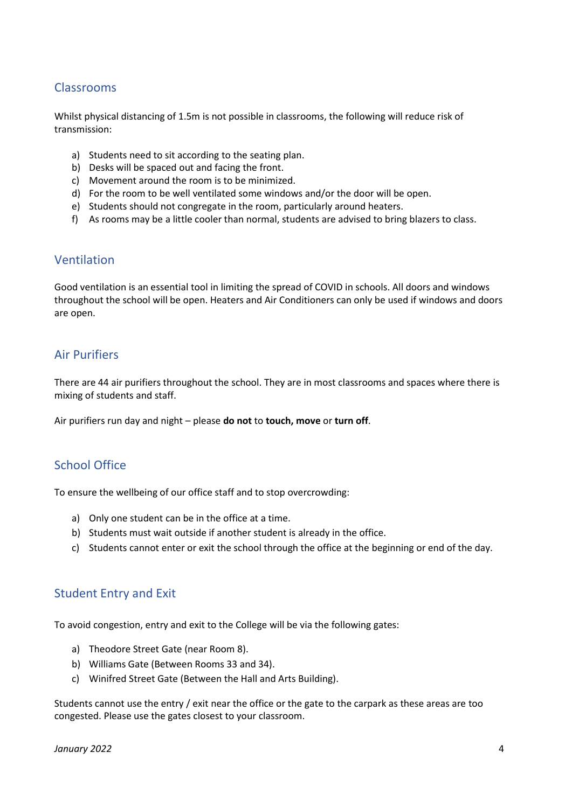## Classrooms

Whilst physical distancing of 1.5m is not possible in classrooms, the following will reduce risk of transmission:

- a) Students need to sit according to the seating plan.
- b) Desks will be spaced out and facing the front.
- c) Movement around the room is to be minimized.
- d) For the room to be well ventilated some windows and/or the door will be open.
- e) Students should not congregate in the room, particularly around heaters.
- f) As rooms may be a little cooler than normal, students are advised to bring blazers to class.

### Ventilation

Good ventilation is an essential tool in limiting the spread of COVID in schools. All doors and windows throughout the school will be open. Heaters and Air Conditioners can only be used if windows and doors are open.

# Air Purifiers

There are 44 air purifiers throughout the school. They are in most classrooms and spaces where there is mixing of students and staff.

Air purifiers run day and night – please **do not** to **touch, move** or **turn off**.

# School Office

To ensure the wellbeing of our office staff and to stop overcrowding:

- a) Only one student can be in the office at a time.
- b) Students must wait outside if another student is already in the office.
- c) Students cannot enter or exit the school through the office at the beginning or end of the day.

### Student Entry and Exit

To avoid congestion, entry and exit to the College will be via the following gates:

- a) Theodore Street Gate (near Room 8).
- b) Williams Gate (Between Rooms 33 and 34).
- c) Winifred Street Gate (Between the Hall and Arts Building).

Students cannot use the entry / exit near the office or the gate to the carpark as these areas are too congested. Please use the gates closest to your classroom.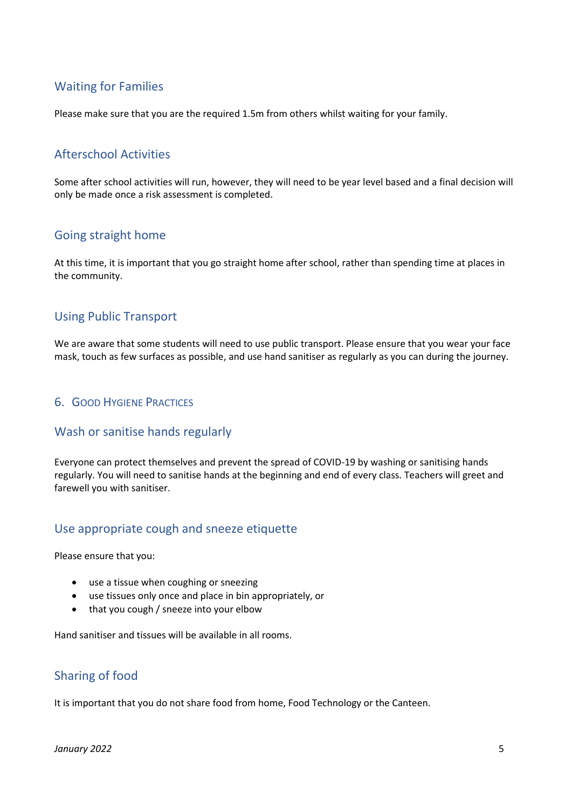# Waiting for Families

Please make sure that you are the required 1.5m from others whilst waiting for your family.

### Afterschool Activities

Some after school activities will run, however, they will need to be year level based and a final decision will only be made once a risk assessment is completed.

## Going straight home

At this time, it is important that you go straight home after school, rather than spending time at places in the community.

## Using Public Transport

We are aware that some students will need to use public transport. Please ensure that you wear your face mask, touch as few surfaces as possible, and use hand sanitiser as regularly as you can during the journey.

#### 6. GOOD HYGIENE PRACTICES

### Wash or sanitise hands regularly

Everyone can protect themselves and prevent the spread of COVID-19 by washing or sanitising hands regularly. You will need to sanitise hands at the beginning and end of every class. Teachers will greet and farewell you with sanitiser.

### Use appropriate cough and sneeze etiquette

Please ensure that you:

- use a tissue when coughing or sneezing
- use tissues only once and place in bin appropriately, or
- that you cough / sneeze into your elbow

Hand sanitiser and tissues will be available in all rooms.

# Sharing of food

It is important that you do not share food from home, Food Technology or the Canteen.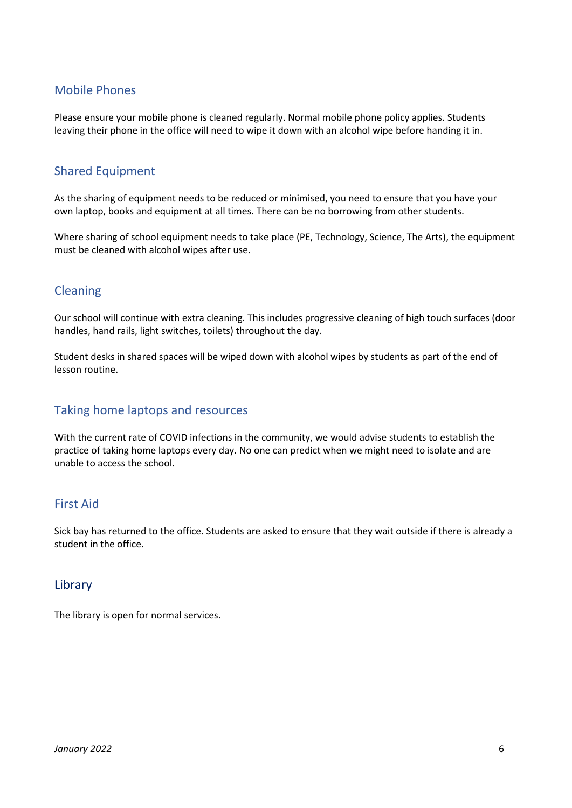### Mobile Phones

Please ensure your mobile phone is cleaned regularly. Normal mobile phone policy applies. Students leaving their phone in the office will need to wipe it down with an alcohol wipe before handing it in.

# Shared Equipment

As the sharing of equipment needs to be reduced or minimised, you need to ensure that you have your own laptop, books and equipment at all times. There can be no borrowing from other students.

Where sharing of school equipment needs to take place (PE, Technology, Science, The Arts), the equipment must be cleaned with alcohol wipes after use.

## Cleaning

Our school will continue with extra cleaning. This includes progressive cleaning of high touch surfaces (door handles, hand rails, light switches, toilets) throughout the day.

Student desks in shared spaces will be wiped down with alcohol wipes by students as part of the end of lesson routine.

## Taking home laptops and resources

With the current rate of COVID infections in the community, we would advise students to establish the practice of taking home laptops every day. No one can predict when we might need to isolate and are unable to access the school.

### First Aid

Sick bay has returned to the office. Students are asked to ensure that they wait outside if there is already a student in the office.

### Library

The library is open for normal services.